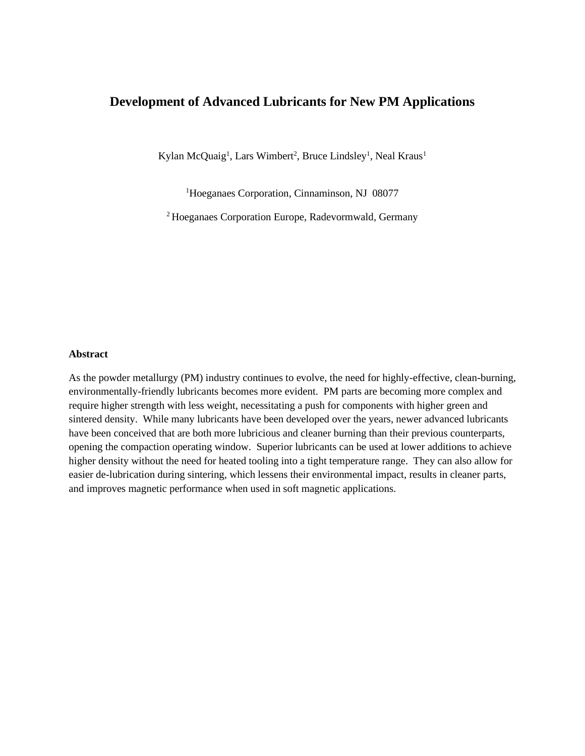# **Development of Advanced Lubricants for New PM Applications**

Kylan McQuaig<sup>1</sup>, Lars Wimbert<sup>2</sup>, Bruce Lindsley<sup>1</sup>, Neal Kraus<sup>1</sup>

<sup>1</sup>Hoeganaes Corporation, Cinnaminson, NJ 08077

<sup>2</sup>Hoeganaes Corporation Europe, Radevormwald, Germany

#### **Abstract**

As the powder metallurgy (PM) industry continues to evolve, the need for highly-effective, clean-burning, environmentally-friendly lubricants becomes more evident. PM parts are becoming more complex and require higher strength with less weight, necessitating a push for components with higher green and sintered density. While many lubricants have been developed over the years, newer advanced lubricants have been conceived that are both more lubricious and cleaner burning than their previous counterparts, opening the compaction operating window. Superior lubricants can be used at lower additions to achieve higher density without the need for heated tooling into a tight temperature range. They can also allow for easier de-lubrication during sintering, which lessens their environmental impact, results in cleaner parts, and improves magnetic performance when used in soft magnetic applications.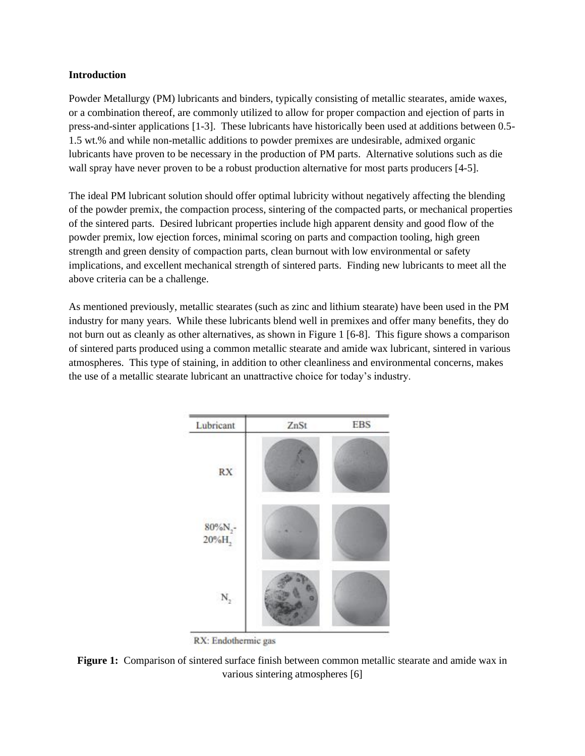# **Introduction**

Powder Metallurgy (PM) lubricants and binders, typically consisting of metallic stearates, amide waxes, or a combination thereof, are commonly utilized to allow for proper compaction and ejection of parts in press-and-sinter applications [1-3]. These lubricants have historically been used at additions between 0.5- 1.5 wt.% and while non-metallic additions to powder premixes are undesirable, admixed organic lubricants have proven to be necessary in the production of PM parts. Alternative solutions such as die wall spray have never proven to be a robust production alternative for most parts producers [4-5].

The ideal PM lubricant solution should offer optimal lubricity without negatively affecting the blending of the powder premix, the compaction process, sintering of the compacted parts, or mechanical properties of the sintered parts. Desired lubricant properties include high apparent density and good flow of the powder premix, low ejection forces, minimal scoring on parts and compaction tooling, high green strength and green density of compaction parts, clean burnout with low environmental or safety implications, and excellent mechanical strength of sintered parts. Finding new lubricants to meet all the above criteria can be a challenge.

As mentioned previously, metallic stearates (such as zinc and lithium stearate) have been used in the PM industry for many years. While these lubricants blend well in premixes and offer many benefits, they do not burn out as cleanly as other alternatives, as shown in Figure 1 [6-8]. This figure shows a comparison of sintered parts produced using a common metallic stearate and amide wax lubricant, sintered in various atmospheres. This type of staining, in addition to other cleanliness and environmental concerns, makes the use of a metallic stearate lubricant an unattractive choice for today's industry.



RX: Endothermic gas

**Figure 1:** Comparison of sintered surface finish between common metallic stearate and amide wax in various sintering atmospheres [6]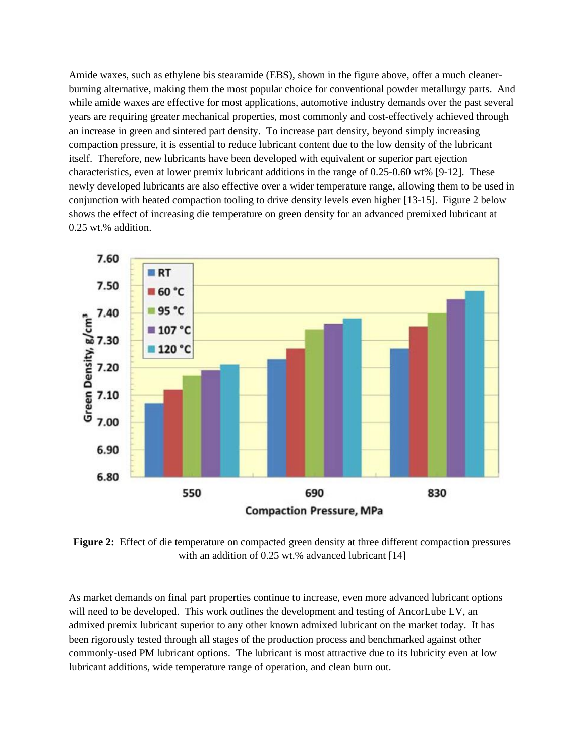Amide waxes, such as ethylene bis stearamide (EBS), shown in the figure above, offer a much cleanerburning alternative, making them the most popular choice for conventional powder metallurgy parts. And while amide waxes are effective for most applications, automotive industry demands over the past several years are requiring greater mechanical properties, most commonly and cost-effectively achieved through an increase in green and sintered part density. To increase part density, beyond simply increasing compaction pressure, it is essential to reduce lubricant content due to the low density of the lubricant itself. Therefore, new lubricants have been developed with equivalent or superior part ejection characteristics, even at lower premix lubricant additions in the range of 0.25-0.60 wt% [9-12]. These newly developed lubricants are also effective over a wider temperature range, allowing them to be used in conjunction with heated compaction tooling to drive density levels even higher [13-15]. Figure 2 below shows the effect of increasing die temperature on green density for an advanced premixed lubricant at 0.25 wt.% addition.



**Figure 2:** Effect of die temperature on compacted green density at three different compaction pressures with an addition of 0.25 wt.% advanced lubricant [14]

As market demands on final part properties continue to increase, even more advanced lubricant options will need to be developed. This work outlines the development and testing of AncorLube LV, an admixed premix lubricant superior to any other known admixed lubricant on the market today. It has been rigorously tested through all stages of the production process and benchmarked against other commonly-used PM lubricant options. The lubricant is most attractive due to its lubricity even at low lubricant additions, wide temperature range of operation, and clean burn out.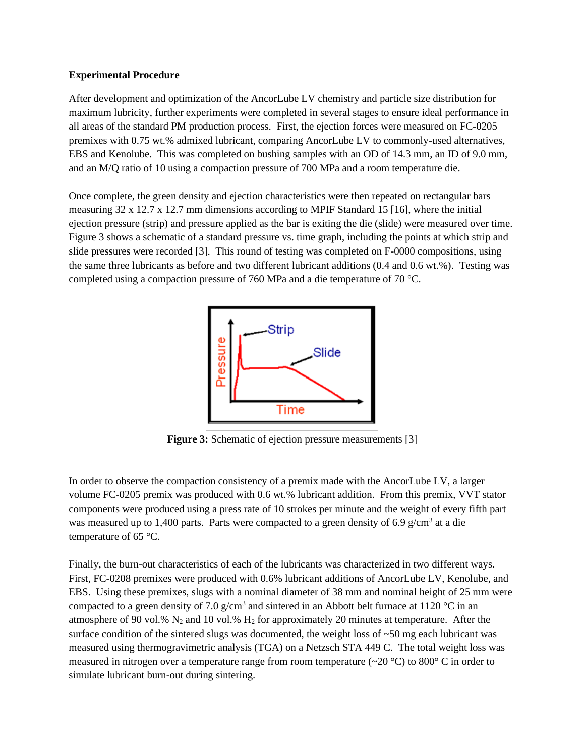# **Experimental Procedure**

After development and optimization of the AncorLube LV chemistry and particle size distribution for maximum lubricity, further experiments were completed in several stages to ensure ideal performance in all areas of the standard PM production process. First, the ejection forces were measured on FC-0205 premixes with 0.75 wt.% admixed lubricant, comparing AncorLube LV to commonly-used alternatives, EBS and Kenolube. This was completed on bushing samples with an OD of 14.3 mm, an ID of 9.0 mm, and an M/Q ratio of 10 using a compaction pressure of 700 MPa and a room temperature die.

Once complete, the green density and ejection characteristics were then repeated on rectangular bars measuring 32 x 12.7 x 12.7 mm dimensions according to MPIF Standard 15 [16], where the initial ejection pressure (strip) and pressure applied as the bar is exiting the die (slide) were measured over time. Figure 3 shows a schematic of a standard pressure vs. time graph, including the points at which strip and slide pressures were recorded [3]. This round of testing was completed on F-0000 compositions, using the same three lubricants as before and two different lubricant additions (0.4 and 0.6 wt.%). Testing was completed using a compaction pressure of 760 MPa and a die temperature of 70 °C.



**Figure 3:** Schematic of ejection pressure measurements [3]

In order to observe the compaction consistency of a premix made with the AncorLube LV, a larger volume FC-0205 premix was produced with 0.6 wt.% lubricant addition. From this premix, VVT stator components were produced using a press rate of 10 strokes per minute and the weight of every fifth part was measured up to 1,400 parts. Parts were compacted to a green density of 6.9  $g/cm<sup>3</sup>$  at a die temperature of 65 °C.

Finally, the burn-out characteristics of each of the lubricants was characterized in two different ways. First, FC-0208 premixes were produced with 0.6% lubricant additions of AncorLube LV, Kenolube, and EBS. Using these premixes, slugs with a nominal diameter of 38 mm and nominal height of 25 mm were compacted to a green density of 7.0  $g/cm<sup>3</sup>$  and sintered in an Abbott belt furnace at 1120 °C in an atmosphere of 90 vol.%  $N_2$  and 10 vol.%  $H_2$  for approximately 20 minutes at temperature. After the surface condition of the sintered slugs was documented, the weight loss of  $\sim$ 50 mg each lubricant was measured using thermogravimetric analysis (TGA) on a Netzsch STA 449 C. The total weight loss was measured in nitrogen over a temperature range from room temperature (~20 °C) to 800° C in order to simulate lubricant burn-out during sintering.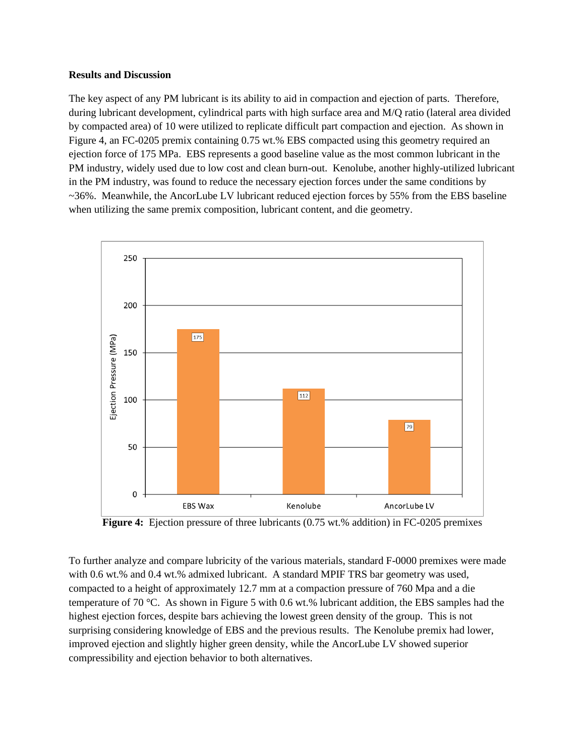#### **Results and Discussion**

The key aspect of any PM lubricant is its ability to aid in compaction and ejection of parts. Therefore, during lubricant development, cylindrical parts with high surface area and M/Q ratio (lateral area divided by compacted area) of 10 were utilized to replicate difficult part compaction and ejection. As shown in Figure 4, an FC-0205 premix containing 0.75 wt.% EBS compacted using this geometry required an ejection force of 175 MPa. EBS represents a good baseline value as the most common lubricant in the PM industry, widely used due to low cost and clean burn-out. Kenolube, another highly-utilized lubricant in the PM industry, was found to reduce the necessary ejection forces under the same conditions by ~36%. Meanwhile, the AncorLube LV lubricant reduced ejection forces by 55% from the EBS baseline when utilizing the same premix composition, lubricant content, and die geometry.



**Figure 4:** Ejection pressure of three lubricants (0.75 wt.% addition) in FC-0205 premixes

To further analyze and compare lubricity of the various materials, standard F-0000 premixes were made with 0.6 wt.% and 0.4 wt.% admixed lubricant. A standard MPIF TRS bar geometry was used, compacted to a height of approximately 12.7 mm at a compaction pressure of 760 Mpa and a die temperature of 70 °C. As shown in Figure 5 with 0.6 wt.% lubricant addition, the EBS samples had the highest ejection forces, despite bars achieving the lowest green density of the group. This is not surprising considering knowledge of EBS and the previous results. The Kenolube premix had lower, improved ejection and slightly higher green density, while the AncorLube LV showed superior compressibility and ejection behavior to both alternatives.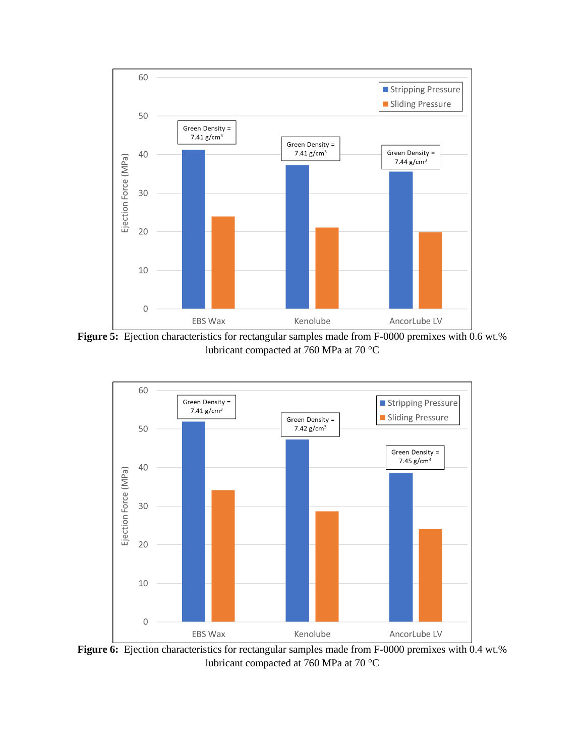

**Figure 5:** Ejection characteristics for rectangular samples made from F-0000 premixes with 0.6 wt.% lubricant compacted at 760 MPa at 70 °C



Figure 6: Ejection characteristics for rectangular samples made from F-0000 premixes with 0.4 wt.% lubricant compacted at 760 MPa at 70 °C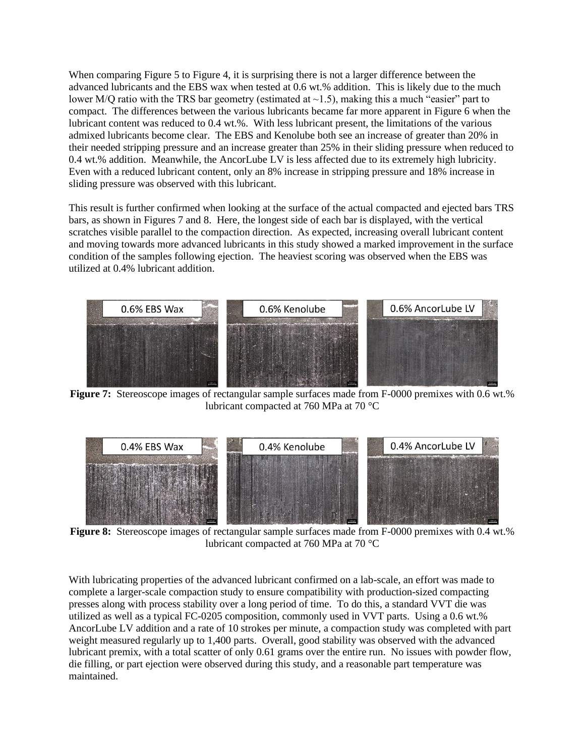When comparing Figure 5 to Figure 4, it is surprising there is not a larger difference between the advanced lubricants and the EBS wax when tested at 0.6 wt.% addition. This is likely due to the much lower M/Q ratio with the TRS bar geometry (estimated at  $\sim$ 1.5), making this a much "easier" part to compact. The differences between the various lubricants became far more apparent in Figure 6 when the lubricant content was reduced to 0.4 wt.%. With less lubricant present, the limitations of the various admixed lubricants become clear. The EBS and Kenolube both see an increase of greater than 20% in their needed stripping pressure and an increase greater than 25% in their sliding pressure when reduced to 0.4 wt.% addition. Meanwhile, the AncorLube LV is less affected due to its extremely high lubricity. Even with a reduced lubricant content, only an 8% increase in stripping pressure and 18% increase in sliding pressure was observed with this lubricant.

This result is further confirmed when looking at the surface of the actual compacted and ejected bars TRS bars, as shown in Figures 7 and 8. Here, the longest side of each bar is displayed, with the vertical scratches visible parallel to the compaction direction. As expected, increasing overall lubricant content and moving towards more advanced lubricants in this study showed a marked improvement in the surface condition of the samples following ejection. The heaviest scoring was observed when the EBS was utilized at 0.4% lubricant addition.



**Figure 7:** Stereoscope images of rectangular sample surfaces made from F-0000 premixes with 0.6 wt.% lubricant compacted at 760 MPa at 70 °C



**Figure 8:** Stereoscope images of rectangular sample surfaces made from F-0000 premixes with 0.4 wt.% lubricant compacted at 760 MPa at 70 °C

With lubricating properties of the advanced lubricant confirmed on a lab-scale, an effort was made to complete a larger-scale compaction study to ensure compatibility with production-sized compacting presses along with process stability over a long period of time. To do this, a standard VVT die was utilized as well as a typical FC-0205 composition, commonly used in VVT parts. Using a 0.6 wt.% AncorLube LV addition and a rate of 10 strokes per minute, a compaction study was completed with part weight measured regularly up to 1,400 parts. Overall, good stability was observed with the advanced lubricant premix, with a total scatter of only 0.61 grams over the entire run. No issues with powder flow, die filling, or part ejection were observed during this study, and a reasonable part temperature was maintained.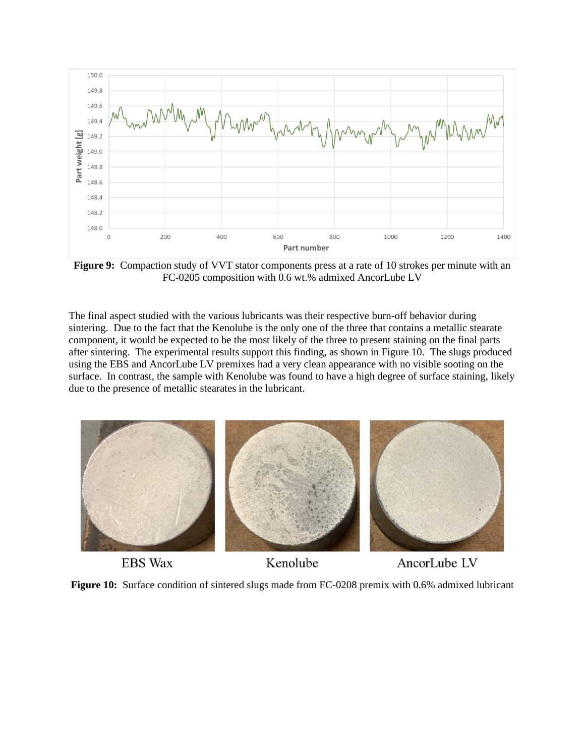

**Figure 9:** Compaction study of VVT stator components press at a rate of 10 strokes per minute with an FC-0205 composition with 0.6 wt.% admixed AncorLube LV

The final aspect studied with the various lubricants was their respective burn-off behavior during sintering. Due to the fact that the Kenolube is the only one of the three that contains a metallic stearate component, it would be expected to be the most likely of the three to present staining on the final parts after sintering. The experimental results support this finding, as shown in Figure 10. The slugs produced using the EBS and AncorLube LV premixes had a very clean appearance with no visible sooting on the surface. In contrast, the sample with Kenolube was found to have a high degree of surface staining, likely due to the presence of metallic stearates in the lubricant.



**EBS Wax** 

Kenolube

AncorLube LV

**Figure 10:** Surface condition of sintered slugs made from FC-0208 premix with 0.6% admixed lubricant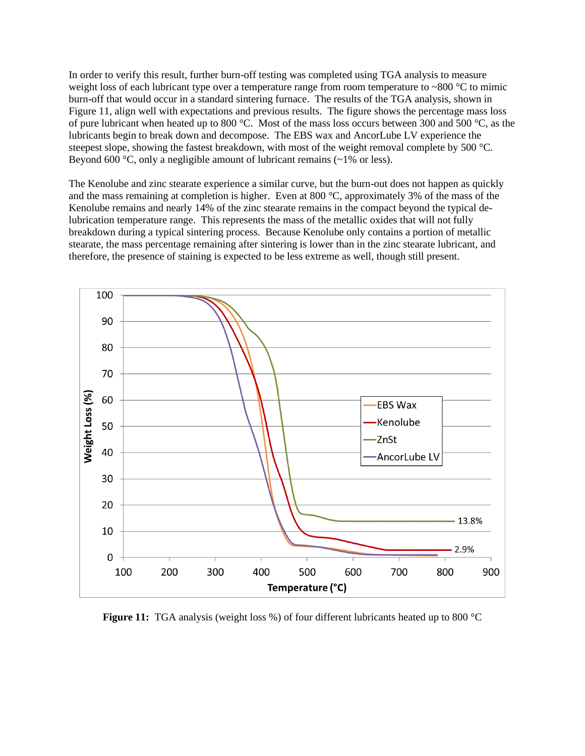In order to verify this result, further burn-off testing was completed using TGA analysis to measure weight loss of each lubricant type over a temperature range from room temperature to ~800  $\degree$ C to mimic burn-off that would occur in a standard sintering furnace. The results of the TGA analysis, shown in Figure 11, align well with expectations and previous results. The figure shows the percentage mass loss of pure lubricant when heated up to 800 °C. Most of the mass loss occurs between 300 and 500 °C, as the lubricants begin to break down and decompose. The EBS wax and AncorLube LV experience the steepest slope, showing the fastest breakdown, with most of the weight removal complete by 500 °C. Beyond 600  $\degree$ C, only a negligible amount of lubricant remains (~1% or less).

The Kenolube and zinc stearate experience a similar curve, but the burn-out does not happen as quickly and the mass remaining at completion is higher. Even at 800  $^{\circ}$ C, approximately 3% of the mass of the Kenolube remains and nearly 14% of the zinc stearate remains in the compact beyond the typical delubrication temperature range. This represents the mass of the metallic oxides that will not fully breakdown during a typical sintering process. Because Kenolube only contains a portion of metallic stearate, the mass percentage remaining after sintering is lower than in the zinc stearate lubricant, and therefore, the presence of staining is expected to be less extreme as well, though still present.



**Figure 11:** TGA analysis (weight loss %) of four different lubricants heated up to 800 °C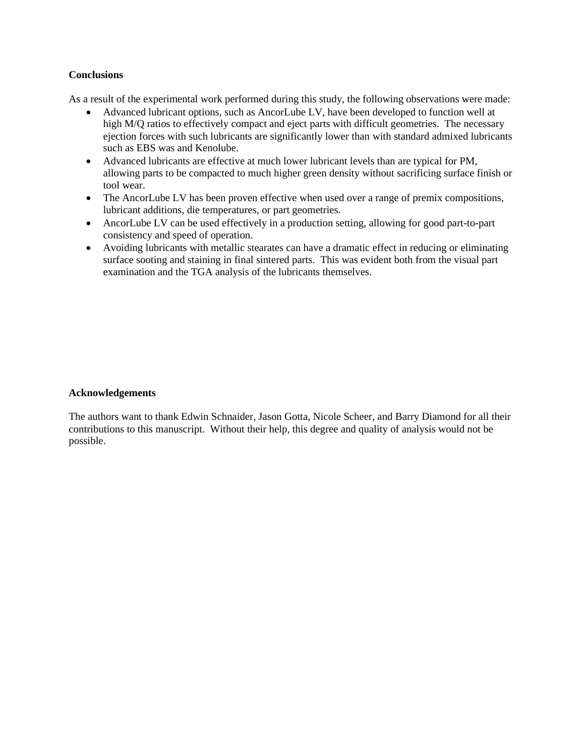# **Conclusions**

As a result of the experimental work performed during this study, the following observations were made:

- Advanced lubricant options, such as AncorLube LV, have been developed to function well at high M/Q ratios to effectively compact and eject parts with difficult geometries. The necessary ejection forces with such lubricants are significantly lower than with standard admixed lubricants such as EBS was and Kenolube.
- Advanced lubricants are effective at much lower lubricant levels than are typical for PM, allowing parts to be compacted to much higher green density without sacrificing surface finish or tool wear.
- The AncorLube LV has been proven effective when used over a range of premix compositions, lubricant additions, die temperatures, or part geometries.
- AncorLube LV can be used effectively in a production setting, allowing for good part-to-part consistency and speed of operation.
- Avoiding lubricants with metallic stearates can have a dramatic effect in reducing or eliminating surface sooting and staining in final sintered parts. This was evident both from the visual part examination and the TGA analysis of the lubricants themselves.

#### **Acknowledgements**

The authors want to thank Edwin Schnaider, Jason Gotta, Nicole Scheer, and Barry Diamond for all their contributions to this manuscript. Without their help, this degree and quality of analysis would not be possible.